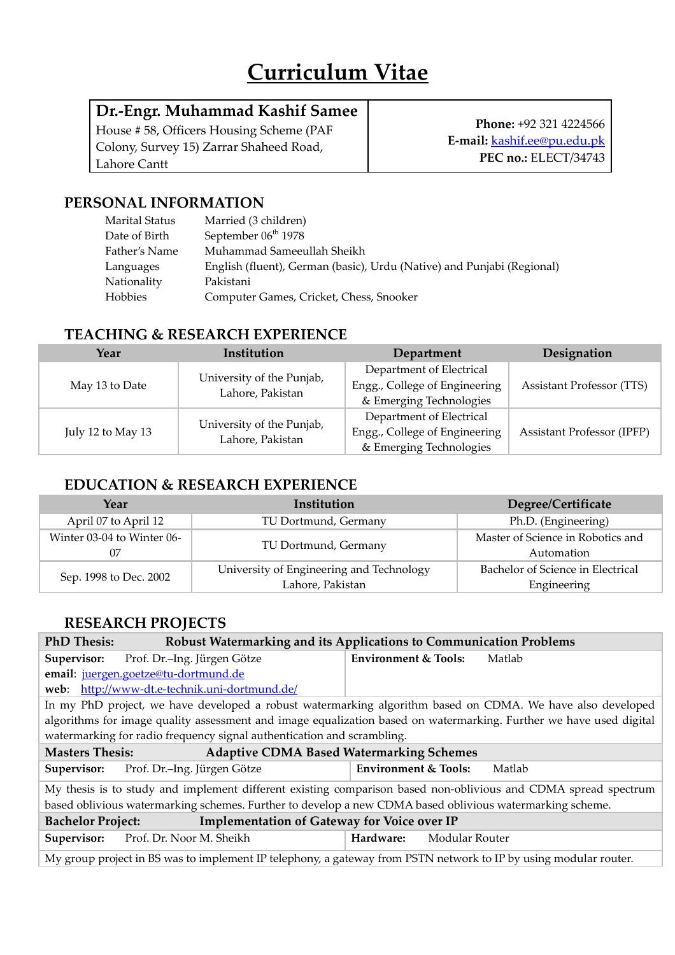# **Curriculum Vitae**

# **Dr.-Engr. Muhammad Kashif Samee**

House # 58, Officers Housing Scheme (PAF Colony, Survey 15) Zarrar Shaheed Road, Lahore Cantt

**Phone:** +92 321 4224566 **E-mail:** [kashif.ee@pu.edu.pk](mailto:kashif.ee@pu.edu.pk) **PEC no.:** ELECT/34743

# **PERSONAL INFORMATION**

| Married (3 children)                                                   |
|------------------------------------------------------------------------|
| September 06 <sup>th</sup> 1978                                        |
| Muhammad Sameeullah Sheikh                                             |
| English (fluent), German (basic), Urdu (Native) and Punjabi (Regional) |
| Pakistani                                                              |
| Computer Games, Cricket, Chess, Snooker                                |
|                                                                        |

## **TEACHING & RESEARCH EXPERIENCE**

| Year              | Institution<br>Department                     |                               | Designation                       |
|-------------------|-----------------------------------------------|-------------------------------|-----------------------------------|
|                   |                                               | Department of Electrical      |                                   |
| May 13 to Date    | University of the Punjab,<br>Lahore, Pakistan | Engg., College of Engineering | <b>Assistant Professor (TTS)</b>  |
|                   |                                               | & Emerging Technologies       |                                   |
| July 12 to May 13 | University of the Punjab,                     | Department of Electrical      |                                   |
|                   |                                               | Engg., College of Engineering | <b>Assistant Professor (IPFP)</b> |
|                   | Lahore, Pakistan                              | & Emerging Technologies       |                                   |

## **EDUCATION & RESEARCH EXPERIENCE**

| Year                             | Institution                              | Degree/Certificate                              |
|----------------------------------|------------------------------------------|-------------------------------------------------|
| April 07 to April 12             | TU Dortmund, Germany                     | Ph.D. (Engineering)                             |
| Winter 03-04 to Winter 06-<br>07 | TU Dortmund, Germany                     | Master of Science in Robotics and<br>Automation |
|                                  | University of Engineering and Technology | Bachelor of Science in Electrical               |
| Sep. 1998 to Dec. 2002           | Lahore, Pakistan                         | Engineering                                     |

# **RESEARCH PROJECTS**

| <b>PhD Thesis:</b>                                                                                               | Robust Watermarking and its Applications to Communication Problems                                                 |  |  |  |
|------------------------------------------------------------------------------------------------------------------|--------------------------------------------------------------------------------------------------------------------|--|--|--|
| Prof. Dr.-Ing. Jürgen Götze<br>Supervisor:                                                                       | <b>Environment &amp; Tools:</b><br>Matlab                                                                          |  |  |  |
| email: juergen.goetze@tu-dortmund.de                                                                             |                                                                                                                    |  |  |  |
| web: http://www-dt.e-technik.uni-dortmund.de/                                                                    |                                                                                                                    |  |  |  |
|                                                                                                                  | In my PhD project, we have developed a robust watermarking algorithm based on CDMA. We have also developed         |  |  |  |
|                                                                                                                  | algorithms for image quality assessment and image equalization based on watermarking. Further we have used digital |  |  |  |
| watermarking for radio frequency signal authentication and scrambling.                                           |                                                                                                                    |  |  |  |
| <b>Masters Thesis:</b>                                                                                           | <b>Adaptive CDMA Based Watermarking Schemes</b>                                                                    |  |  |  |
| Prof. Dr.-Ing. Jürgen Götze<br>Supervisor:                                                                       | <b>Environment &amp; Tools:</b><br>Matlab                                                                          |  |  |  |
| My thesis is to study and implement different existing comparison based non-oblivious and CDMA spread spectrum   |                                                                                                                    |  |  |  |
| based oblivious watermarking schemes. Further to develop a new CDMA based oblivious watermarking scheme.         |                                                                                                                    |  |  |  |
| <b>Implementation of Gateway for Voice over IP</b><br><b>Bachelor Project:</b>                                   |                                                                                                                    |  |  |  |
| Supervisor:<br>Prof. Dr. Noor M. Sheikh                                                                          | Hardware:<br>Modular Router                                                                                        |  |  |  |
| My group project in BS was to implement IP telephony, a gateway from PSTN network to IP by using modular router. |                                                                                                                    |  |  |  |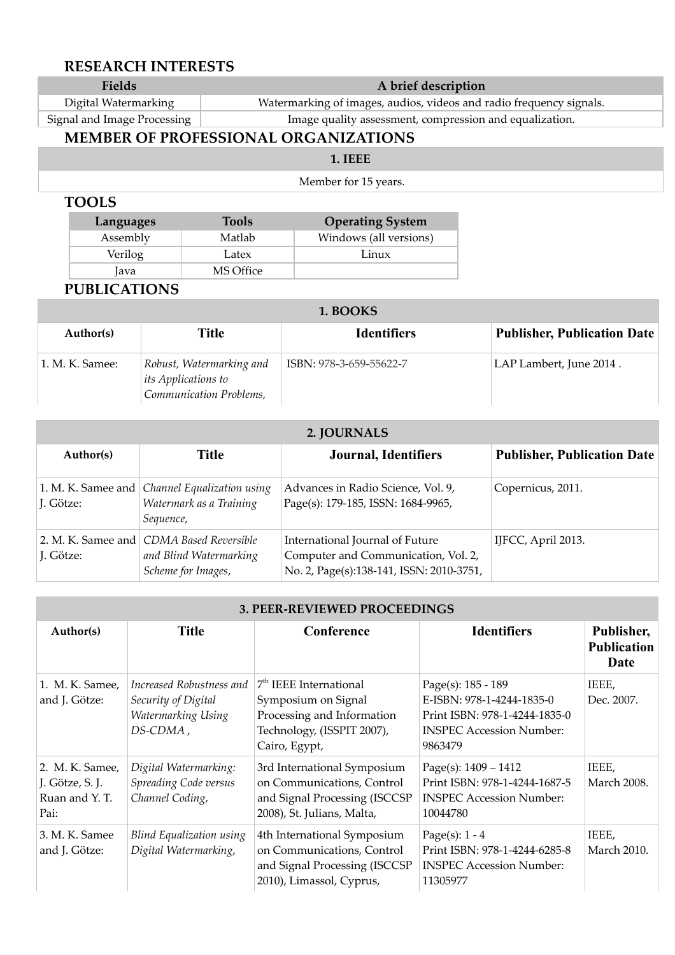#### **RESEARCH INTERESTS**

## **Fields A brief description**

Digital Watermarking Watermarking of images, audios, videos and radio frequency signals.

Signal and Image Processing Image quality assessment, compression and equalization.

# **MEMBER OF PROFESSIONAL ORGANIZATIONS**

#### **1. IEEE**

Member for 15 years.

#### **TOOLS**

| Languages | Tools     | <b>Operating System</b> |
|-----------|-----------|-------------------------|
| Assembly  | Matlab    | Windows (all versions)  |
| Verilog   | Latex     | Linux                   |
| lava      | MS Office |                         |

#### **PUBLICATIONS**

| 1. BOOKS        |                                                                                   |                         |                                    |
|-----------------|-----------------------------------------------------------------------------------|-------------------------|------------------------------------|
| Author(s)       | Title                                                                             | <b>Identifiers</b>      | <b>Publisher, Publication Date</b> |
| 1. M. K. Samee: | Robust, Watermarking and<br><i>its Applications to</i><br>Communication Problems, | ISBN: 978-3-659-55622-7 | LAP Lambert, June 2014.            |

| 2. JOURNALS |                                                                                              |                                                                                                                    |                                    |  |
|-------------|----------------------------------------------------------------------------------------------|--------------------------------------------------------------------------------------------------------------------|------------------------------------|--|
| Author(s)   | <b>Title</b>                                                                                 | Journal, Identifiers                                                                                               | <b>Publisher, Publication Date</b> |  |
| J. Götze:   | 1. M. K. Samee and <i>Channel Equalization using</i><br>Watermark as a Training<br>Sequence, | Advances in Radio Science, Vol. 9,<br>Page(s): 179-185, ISSN: 1684-9965,                                           | Copernicus, 2011.                  |  |
| J. Götze:   | 2. M. K. Samee and   CDMA Based Reversible<br>and Blind Watermarking<br>Scheme for Images,   | International Journal of Future<br>Computer and Communication, Vol. 2,<br>No. 2, Page(s):138-141, ISSN: 2010-3751, | IJFCC, April 2013.                 |  |

| 3. PEER-REVIEWED PROCEEDINGS                                |                                                                                   |                                                                                                                                        |                                                                                                                                |                                          |
|-------------------------------------------------------------|-----------------------------------------------------------------------------------|----------------------------------------------------------------------------------------------------------------------------------------|--------------------------------------------------------------------------------------------------------------------------------|------------------------------------------|
| Author(s)                                                   | <b>Title</b>                                                                      | Conference                                                                                                                             | <b>Identifiers</b>                                                                                                             | Publisher,<br><b>Publication</b><br>Date |
| 1. M. K. Samee,<br>and J. Götze:                            | Increased Robustness and<br>Security of Digital<br>Watermarking Using<br>DS-CDMA, | 7 <sup>th</sup> IEEE International<br>Symposium on Signal<br>Processing and Information<br>Technology, (ISSPIT 2007),<br>Cairo, Egypt, | Page(s): 185 - 189<br>E-ISBN: 978-1-4244-1835-0<br>Print ISBN: 978-1-4244-1835-0<br><b>INSPEC Accession Number:</b><br>9863479 | IEEE,<br>Dec. 2007.                      |
| 2. M. K. Samee,<br>J. Götze, S. J.<br>Ruan and Y.T.<br>Pai: | Digital Watermarking:<br>Spreading Code versus<br>Channel Coding,                 | 3rd International Symposium<br>on Communications, Control<br>and Signal Processing (ISCCSP<br>2008), St. Julians, Malta,               | Page(s): $1409 - 1412$<br>Print ISBN: 978-1-4244-1687-5<br><b>INSPEC Accession Number:</b><br>10044780                         | IEEE,<br><b>March 2008.</b>              |
| 3. M. K. Samee<br>and J. Götze:                             | Blind Equalization using<br>Digital Watermarking,                                 | 4th International Symposium<br>on Communications, Control<br>and Signal Processing (ISCCSP)<br>2010), Limassol, Cyprus,                | Page(s): $1 - 4$<br>Print ISBN: 978-1-4244-6285-8<br><b>INSPEC Accession Number:</b><br>11305977                               | IEEE,<br><b>March 2010.</b>              |